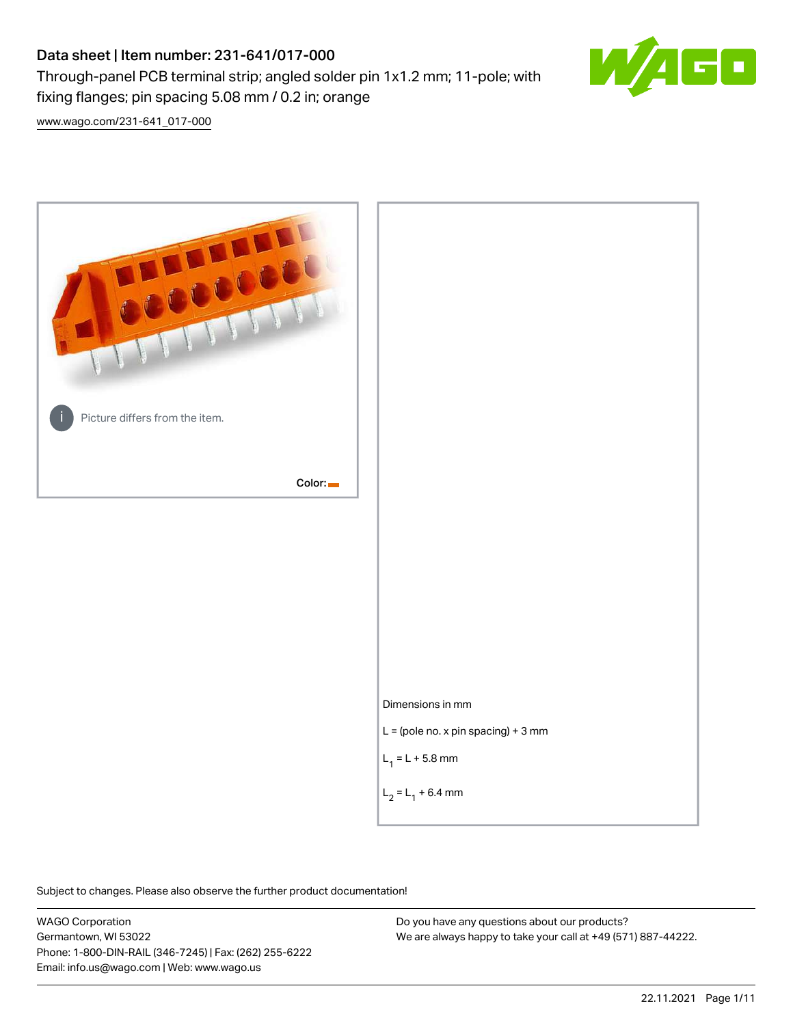# Data sheet | Item number: 231-641/017-000

fixing flanges; pin spacing 5.08 mm / 0.2 in; orange

Through-panel PCB terminal strip; angled solder pin 1x1.2 mm; 11-pole; with



[www.wago.com/231-641\\_017-000](http://www.wago.com/231-641_017-000)



Subject to changes. Please also observe the further product documentation!

WAGO Corporation Germantown, WI 53022 Phone: 1-800-DIN-RAIL (346-7245) | Fax: (262) 255-6222 Email: info.us@wago.com | Web: www.wago.us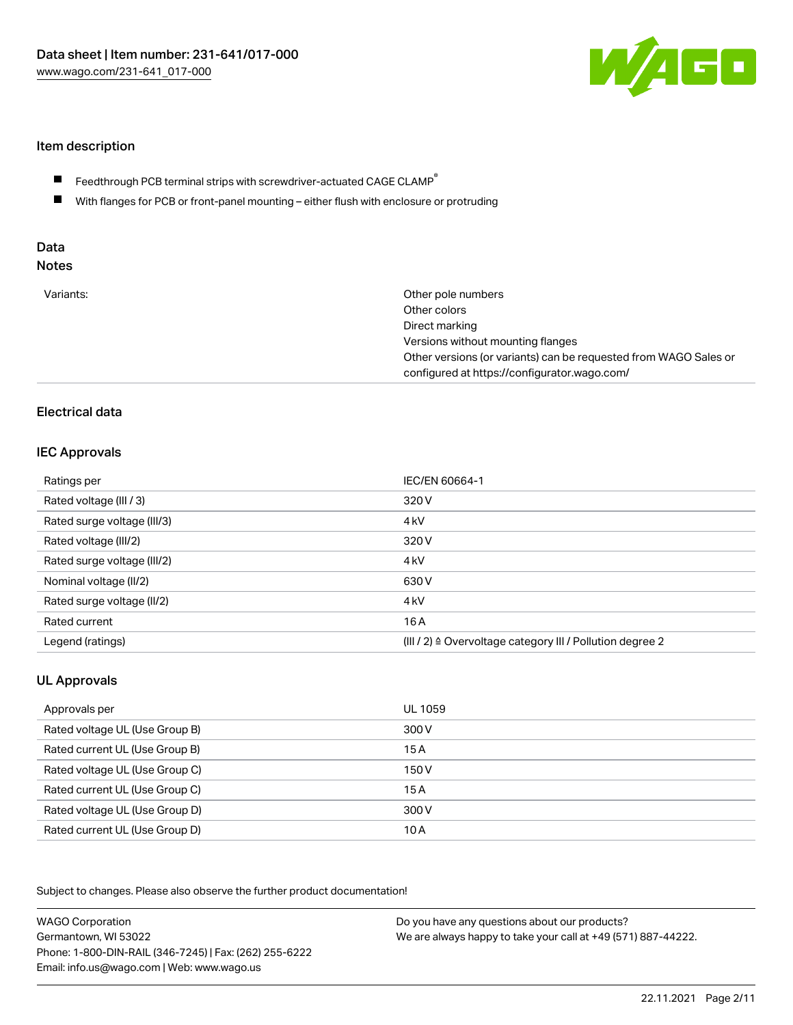

### Item description

- Feedthrough PCB terminal strips with screwdriver-actuated CAGE CLAMP $^\circ$  $\blacksquare$
- $\blacksquare$ With flanges for PCB or front-panel mounting – either flush with enclosure or protruding

# Data

| Variants: | Other pole numbers<br>Other colors<br>Direct marking<br>Versions without mounting flanges<br>Other versions (or variants) can be requested from WAGO Sales or<br>configured at https://configurator.wago.com/ |
|-----------|---------------------------------------------------------------------------------------------------------------------------------------------------------------------------------------------------------------|
|           |                                                                                                                                                                                                               |

# Electrical data

### IEC Approvals

| Ratings per                 | IEC/EN 60664-1                                                        |
|-----------------------------|-----------------------------------------------------------------------|
| Rated voltage (III / 3)     | 320 V                                                                 |
| Rated surge voltage (III/3) | 4 <sub>kV</sub>                                                       |
| Rated voltage (III/2)       | 320 V                                                                 |
| Rated surge voltage (III/2) | 4 <sub>kV</sub>                                                       |
| Nominal voltage (II/2)      | 630 V                                                                 |
| Rated surge voltage (II/2)  | 4 <sub>k</sub> V                                                      |
| Rated current               | 16A                                                                   |
| Legend (ratings)            | $(III / 2)$ $\triangle$ Overvoltage category III / Pollution degree 2 |

# UL Approvals

| Approvals per                  | UL 1059 |
|--------------------------------|---------|
| Rated voltage UL (Use Group B) | 300 V   |
| Rated current UL (Use Group B) | 15 A    |
| Rated voltage UL (Use Group C) | 150 V   |
| Rated current UL (Use Group C) | 15A     |
| Rated voltage UL (Use Group D) | 300 V   |
| Rated current UL (Use Group D) | 10 A    |

Subject to changes. Please also observe the further product documentation!

| <b>WAGO Corporation</b>                                | Do you have any questions about our products?                 |
|--------------------------------------------------------|---------------------------------------------------------------|
| Germantown, WI 53022                                   | We are always happy to take your call at +49 (571) 887-44222. |
| Phone: 1-800-DIN-RAIL (346-7245)   Fax: (262) 255-6222 |                                                               |
| Email: info.us@wago.com   Web: www.wago.us             |                                                               |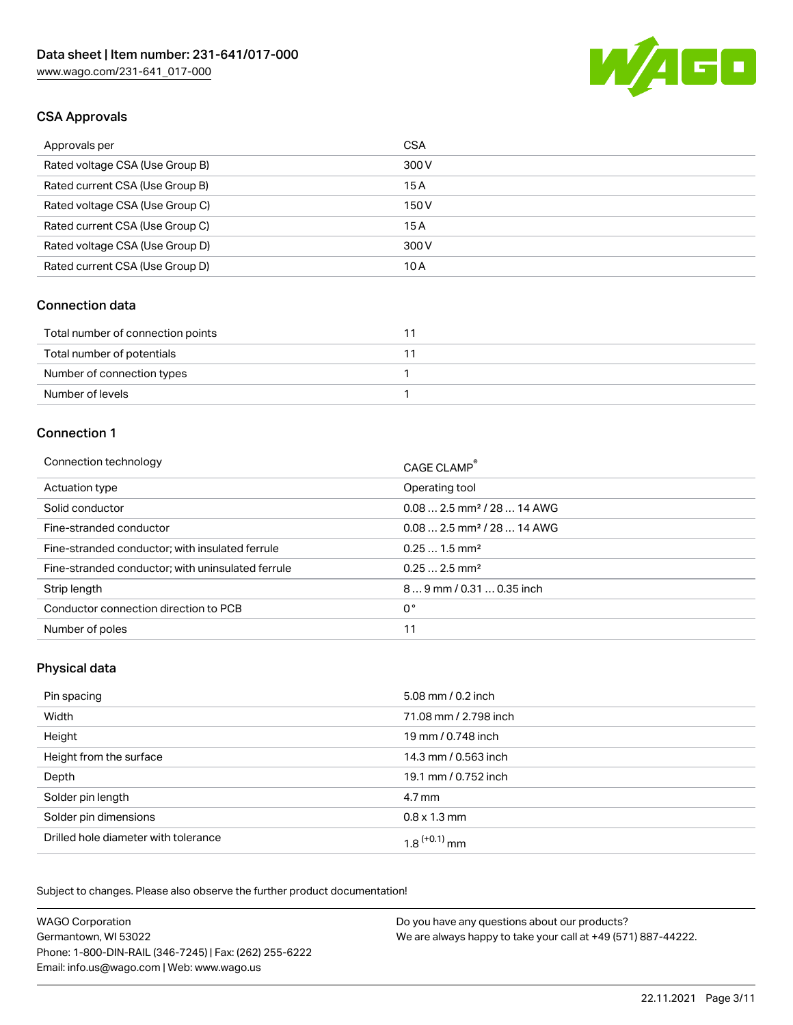

# CSA Approvals

| Approvals per                   | <b>CSA</b> |
|---------------------------------|------------|
| Rated voltage CSA (Use Group B) | 300 V      |
| Rated current CSA (Use Group B) | 15A        |
| Rated voltage CSA (Use Group C) | 150 V      |
| Rated current CSA (Use Group C) | 15A        |
| Rated voltage CSA (Use Group D) | 300 V      |
| Rated current CSA (Use Group D) | 10 A       |

#### Connection data

| Total number of connection points |  |
|-----------------------------------|--|
| Total number of potentials        |  |
| Number of connection types        |  |
| Number of levels                  |  |

#### Connection 1

| Connection technology                             | CAGE CLAMP <sup>®</sup>                 |
|---------------------------------------------------|-----------------------------------------|
| Actuation type                                    | Operating tool                          |
| Solid conductor                                   | $0.08$ 2.5 mm <sup>2</sup> / 28  14 AWG |
| Fine-stranded conductor                           | $0.08$ 2.5 mm <sup>2</sup> / 28  14 AWG |
| Fine-stranded conductor; with insulated ferrule   | $0.251.5$ mm <sup>2</sup>               |
| Fine-stranded conductor; with uninsulated ferrule | $0.252.5$ mm <sup>2</sup>               |
| Strip length                                      | $89$ mm / 0.31  0.35 inch               |
| Conductor connection direction to PCB             | 0°                                      |
| Number of poles                                   | 11                                      |
|                                                   |                                         |

### Physical data

| Pin spacing                          | 5.08 mm / 0.2 inch         |
|--------------------------------------|----------------------------|
| Width                                | 71.08 mm / 2.798 inch      |
| Height                               | 19 mm / 0.748 inch         |
| Height from the surface              | 14.3 mm / 0.563 inch       |
| Depth                                | 19.1 mm / 0.752 inch       |
| Solder pin length                    | $4.7 \,\mathrm{mm}$        |
| Solder pin dimensions                | $0.8 \times 1.3$ mm        |
| Drilled hole diameter with tolerance | $1.8$ <sup>(+0.1)</sup> mm |

Subject to changes. Please also observe the further product documentation! Mechanical data

| <b>WAGO Corporation</b>                                | Do you have any questions about our products?                 |
|--------------------------------------------------------|---------------------------------------------------------------|
| Germantown, WI 53022                                   | We are always happy to take your call at +49 (571) 887-44222. |
| Phone: 1-800-DIN-RAIL (346-7245)   Fax: (262) 255-6222 |                                                               |
| Email: info.us@wago.com   Web: www.wago.us             |                                                               |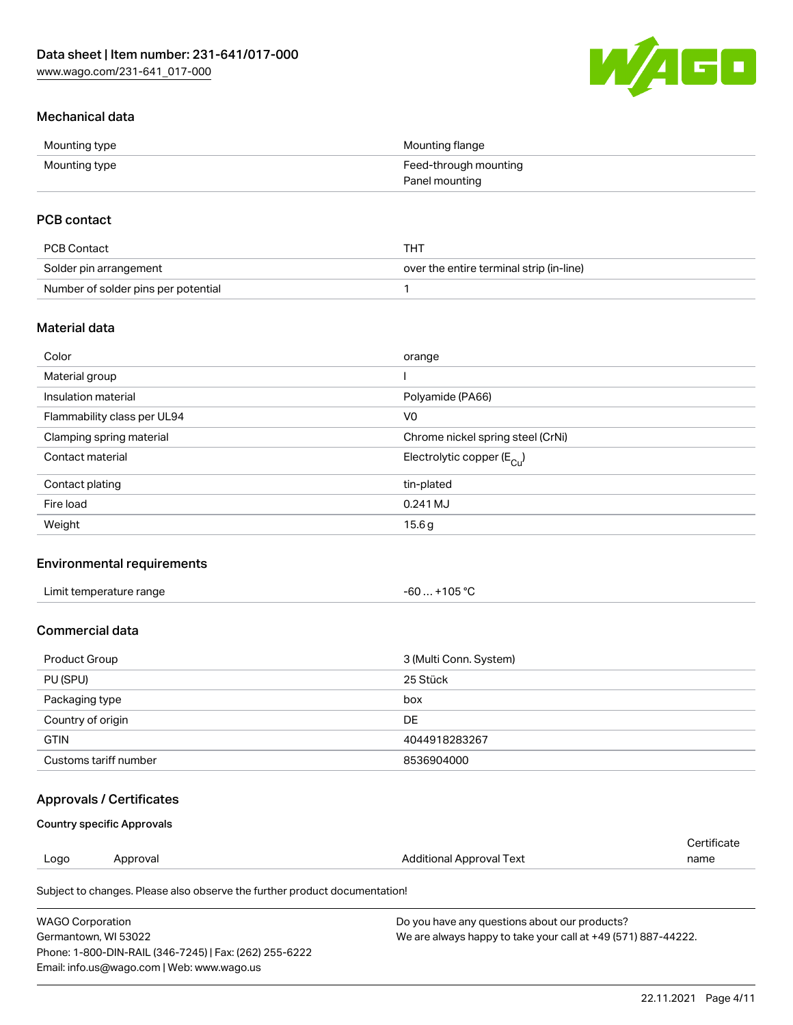

# Mechanical data

| Mounting type | Mounting flange       |
|---------------|-----------------------|
| Mounting type | Feed-through mounting |
|               | Panel mounting        |

# PCB contact

| PCB Contact                         | THT                                      |
|-------------------------------------|------------------------------------------|
| Solder pin arrangement              | over the entire terminal strip (in-line) |
| Number of solder pins per potential |                                          |

### Material data

| Color                       | orange                                |
|-----------------------------|---------------------------------------|
| Material group              |                                       |
| Insulation material         | Polyamide (PA66)                      |
| Flammability class per UL94 | V <sub>0</sub>                        |
| Clamping spring material    | Chrome nickel spring steel (CrNi)     |
| Contact material            | Electrolytic copper $(E_{\text{Cu}})$ |
| Contact plating             | tin-plated                            |
| Fire load                   | 0.241 MJ                              |
| Weight                      | 15.6g                                 |

### Environmental requirements

| Limit temperature range<br>. | +105 $^{\circ}$ C<br>-60 |  |
|------------------------------|--------------------------|--|
|------------------------------|--------------------------|--|

## Commercial data

| Product Group         | 3 (Multi Conn. System) |
|-----------------------|------------------------|
| PU (SPU)              | 25 Stück               |
| Packaging type        | box                    |
| Country of origin     | DE                     |
| <b>GTIN</b>           | 4044918283267          |
| Customs tariff number | 8536904000             |

### Approvals / Certificates

#### Country specific Approvals

|      |          |                                                                            | Certificate |
|------|----------|----------------------------------------------------------------------------|-------------|
| Logo | Approval | Additional Approval Text                                                   | name        |
|      |          | Subject to changes. Please also observe the further product documentation! |             |

| WAGO Corporation                                       | Do you have any questions about our products?                 |
|--------------------------------------------------------|---------------------------------------------------------------|
| Germantown. WI 53022                                   | We are always happy to take your call at +49 (571) 887-44222. |
| Phone: 1-800-DIN-RAIL (346-7245)   Fax: (262) 255-6222 |                                                               |
| Email: info.us@wago.com   Web: www.wago.us             |                                                               |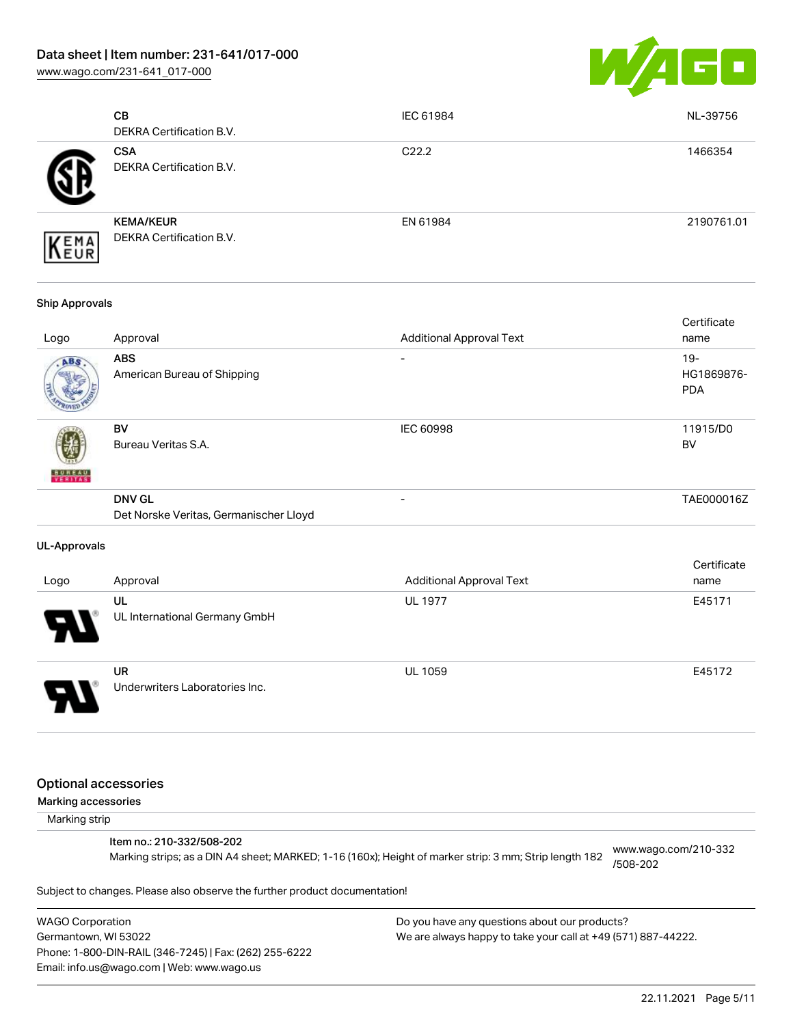[www.wago.com/231-641\\_017-000](http://www.wago.com/231-641_017-000)



|     | CВ<br>DEKRA Certification B.V.                      | IEC 61984         | NL-39756   |
|-----|-----------------------------------------------------|-------------------|------------|
|     | <b>CSA</b><br><b>DEKRA Certification B.V.</b>       | C <sub>22.2</sub> | 1466354    |
| EMA | <b>KEMA/KEUR</b><br><b>DEKRA Certification B.V.</b> | EN 61984          | 2190761.01 |

#### Ship Approvals

| Logo          | Approval                                                | <b>Additional Approval Text</b> | Certificate<br>name                |
|---------------|---------------------------------------------------------|---------------------------------|------------------------------------|
| ABS           | <b>ABS</b><br>American Bureau of Shipping               |                                 | $19 -$<br>HG1869876-<br><b>PDA</b> |
| <b>BUREAU</b> | <b>BV</b><br>Bureau Veritas S.A.                        | <b>IEC 60998</b>                | 11915/D0<br><b>BV</b>              |
|               | <b>DNV GL</b><br>Det Norske Veritas, Germanischer Lloyd | ۰                               | TAE000016Z                         |

#### UL-Approvals

| Logo                  | Approval                                    | <b>Additional Approval Text</b> | Certificate<br>name |
|-----------------------|---------------------------------------------|---------------------------------|---------------------|
| $\boldsymbol{\theta}$ | UL<br>UL International Germany GmbH         | <b>UL 1977</b>                  | E45171              |
| o                     | <b>UR</b><br>Underwriters Laboratories Inc. | <b>UL 1059</b>                  | E45172              |

#### Optional accessories

Marking accessories

Marking strip

#### Item no.: 210-332/508-202

Marking strips; as a DIN A4 sheet; MARKED; 1-16 (160x); Height of marker strip: 3 mm; Strip length 182 [www.wago.com/210-332](http://www.wago.com/210-332/508-202) [/508-202](http://www.wago.com/210-332/508-202)

Subject to changes. Please also observe the further product documentation!

WAGO Corporation Germantown, WI 53022 Phone: 1-800-DIN-RAIL (346-7245) | Fax: (262) 255-6222 Email: info.us@wago.com | Web: www.wago.us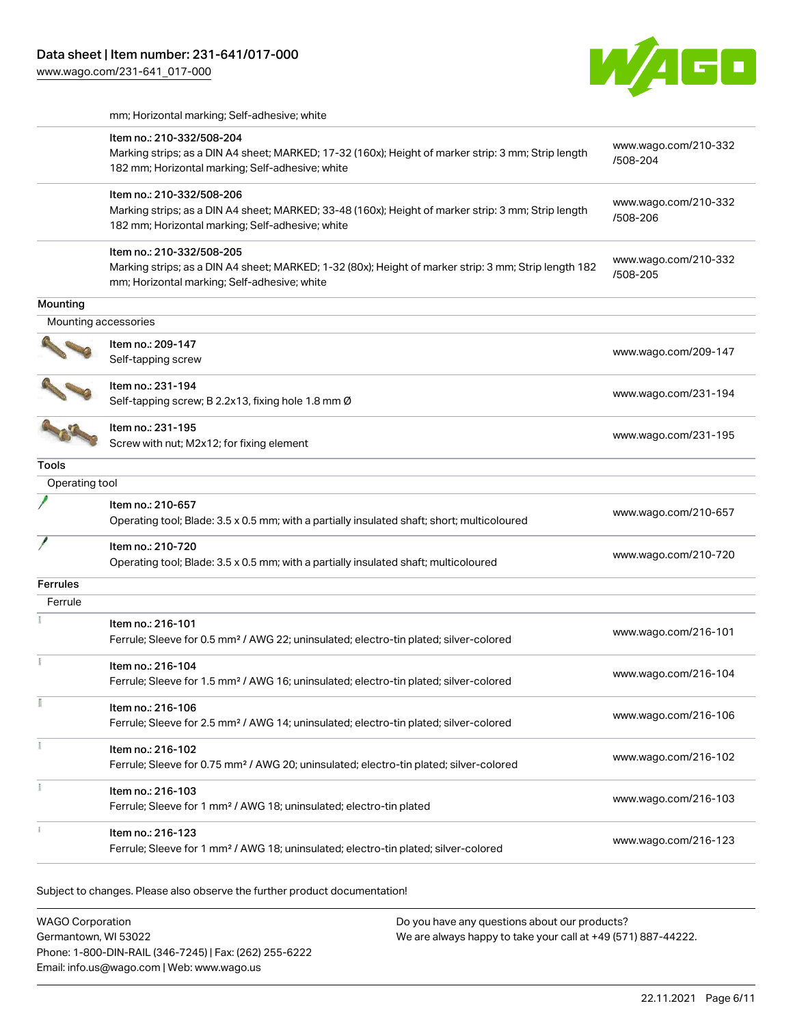

mm; Horizontal marking; Self-adhesive; white

|                      | Item no.: 210-332/508-204<br>Marking strips; as a DIN A4 sheet; MARKED; 17-32 (160x); Height of marker strip: 3 mm; Strip length<br>182 mm; Horizontal marking; Self-adhesive; white | www.wago.com/210-332<br>/508-204 |
|----------------------|--------------------------------------------------------------------------------------------------------------------------------------------------------------------------------------|----------------------------------|
|                      | Item no.: 210-332/508-206<br>Marking strips; as a DIN A4 sheet; MARKED; 33-48 (160x); Height of marker strip: 3 mm; Strip length<br>182 mm; Horizontal marking; Self-adhesive; white | www.wago.com/210-332<br>/508-206 |
|                      | Item no.: 210-332/508-205<br>Marking strips; as a DIN A4 sheet; MARKED; 1-32 (80x); Height of marker strip: 3 mm; Strip length 182<br>mm; Horizontal marking; Self-adhesive; white   | www.wago.com/210-332<br>/508-205 |
| Mounting             |                                                                                                                                                                                      |                                  |
| Mounting accessories |                                                                                                                                                                                      |                                  |
|                      | Item no.: 209-147<br>Self-tapping screw                                                                                                                                              | www.wago.com/209-147             |
|                      | Item no.: 231-194<br>Self-tapping screw; B 2.2x13, fixing hole 1.8 mm Ø                                                                                                              | www.wago.com/231-194             |
|                      | Item no.: 231-195<br>Screw with nut; M2x12; for fixing element                                                                                                                       | www.wago.com/231-195             |
| Tools                |                                                                                                                                                                                      |                                  |
| Operating tool       |                                                                                                                                                                                      |                                  |
|                      | Item no.: 210-657<br>Operating tool; Blade: 3.5 x 0.5 mm; with a partially insulated shaft; short; multicoloured                                                                     | www.wago.com/210-657             |
|                      | Item no.: 210-720<br>Operating tool; Blade: 3.5 x 0.5 mm; with a partially insulated shaft; multicoloured                                                                            | www.wago.com/210-720             |
| Ferrules             |                                                                                                                                                                                      |                                  |
| Ferrule              |                                                                                                                                                                                      |                                  |
|                      | Item no.: 216-101<br>Ferrule; Sleeve for 0.5 mm <sup>2</sup> / AWG 22; uninsulated; electro-tin plated; silver-colored                                                               | www.wago.com/216-101             |
|                      | Item no.: 216-104<br>Ferrule; Sleeve for 1.5 mm <sup>2</sup> / AWG 16; uninsulated; electro-tin plated; silver-colored                                                               | www.wago.com/216-104             |
|                      | Item no.: 216-106<br>Ferrule; Sleeve for 2.5 mm <sup>2</sup> / AWG 14; uninsulated; electro-tin plated; silver-colored                                                               | www.wago.com/216-106             |
|                      | Item no.: 216-102<br>Ferrule; Sleeve for 0.75 mm <sup>2</sup> / AWG 20; uninsulated; electro-tin plated; silver-colored                                                              | www.wago.com/216-102             |
|                      | Item no.: 216-103<br>Ferrule; Sleeve for 1 mm <sup>2</sup> / AWG 18; uninsulated; electro-tin plated                                                                                 | www.wago.com/216-103             |
|                      | Item no.: 216-123<br>Ferrule; Sleeve for 1 mm <sup>2</sup> / AWG 18; uninsulated; electro-tin plated; silver-colored                                                                 | www.wago.com/216-123             |

Subject to changes. Please also observe the further product documentation!

| <b>WAGO Corporation</b>                                | Do you have any questions about our products?                 |
|--------------------------------------------------------|---------------------------------------------------------------|
| Germantown. WI 53022                                   | We are always happy to take your call at +49 (571) 887-44222. |
| Phone: 1-800-DIN-RAIL (346-7245)   Fax: (262) 255-6222 |                                                               |
| Email: info.us@wago.com   Web: www.wago.us             |                                                               |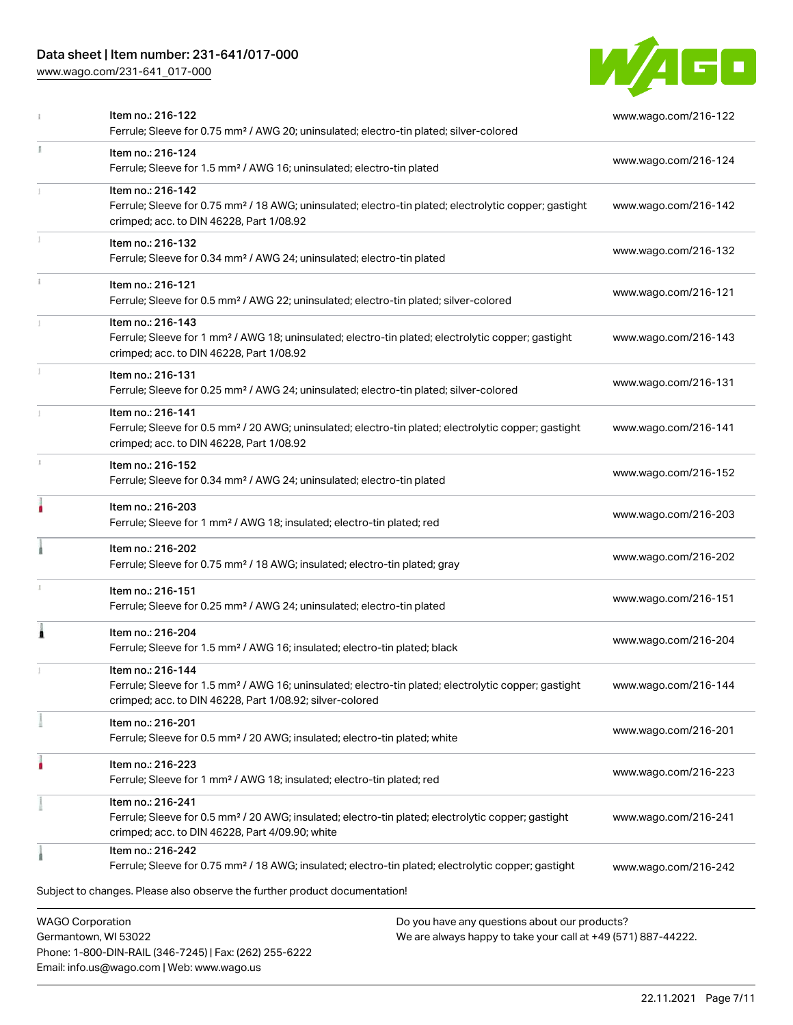# Data sheet | Item number: 231-641/017-000

Phone: 1-800-DIN-RAIL (346-7245) | Fax: (262) 255-6222

Email: info.us@wago.com | Web: www.wago.us

[www.wago.com/231-641\\_017-000](http://www.wago.com/231-641_017-000)



|    | Item no.: 216-122<br>Ferrule; Sleeve for 0.75 mm <sup>2</sup> / AWG 20; uninsulated; electro-tin plated; silver-colored                                                                           |                                                                                                                | www.wago.com/216-122 |
|----|---------------------------------------------------------------------------------------------------------------------------------------------------------------------------------------------------|----------------------------------------------------------------------------------------------------------------|----------------------|
| ĭ. | Item no.: 216-124<br>Ferrule; Sleeve for 1.5 mm <sup>2</sup> / AWG 16; uninsulated; electro-tin plated                                                                                            |                                                                                                                | www.wago.com/216-124 |
|    | Item no.: 216-142<br>Ferrule; Sleeve for 0.75 mm <sup>2</sup> / 18 AWG; uninsulated; electro-tin plated; electrolytic copper; gastight<br>crimped; acc. to DIN 46228, Part 1/08.92                |                                                                                                                | www.wago.com/216-142 |
|    | Item no.: 216-132<br>Ferrule; Sleeve for 0.34 mm <sup>2</sup> / AWG 24; uninsulated; electro-tin plated                                                                                           |                                                                                                                | www.wago.com/216-132 |
|    | Item no.: 216-121<br>Ferrule; Sleeve for 0.5 mm <sup>2</sup> / AWG 22; uninsulated; electro-tin plated; silver-colored                                                                            |                                                                                                                | www.wago.com/216-121 |
|    | Item no.: 216-143<br>Ferrule; Sleeve for 1 mm <sup>2</sup> / AWG 18; uninsulated; electro-tin plated; electrolytic copper; gastight<br>crimped; acc. to DIN 46228, Part 1/08.92                   |                                                                                                                | www.wago.com/216-143 |
|    | Item no.: 216-131<br>Ferrule; Sleeve for 0.25 mm <sup>2</sup> / AWG 24; uninsulated; electro-tin plated; silver-colored                                                                           |                                                                                                                | www.wago.com/216-131 |
|    | Item no.: 216-141<br>Ferrule; Sleeve for 0.5 mm <sup>2</sup> / 20 AWG; uninsulated; electro-tin plated; electrolytic copper; gastight<br>crimped; acc. to DIN 46228, Part 1/08.92                 |                                                                                                                | www.wago.com/216-141 |
|    | Item no.: 216-152<br>Ferrule; Sleeve for 0.34 mm <sup>2</sup> / AWG 24; uninsulated; electro-tin plated                                                                                           |                                                                                                                | www.wago.com/216-152 |
|    | Item no.: 216-203<br>Ferrule; Sleeve for 1 mm <sup>2</sup> / AWG 18; insulated; electro-tin plated; red                                                                                           |                                                                                                                | www.wago.com/216-203 |
|    | Item no.: 216-202<br>Ferrule; Sleeve for 0.75 mm <sup>2</sup> / 18 AWG; insulated; electro-tin plated; gray                                                                                       |                                                                                                                | www.wago.com/216-202 |
|    | Item no.: 216-151<br>Ferrule; Sleeve for 0.25 mm <sup>2</sup> / AWG 24; uninsulated; electro-tin plated                                                                                           |                                                                                                                | www.wago.com/216-151 |
| Â  | Item no.: 216-204<br>Ferrule; Sleeve for 1.5 mm <sup>2</sup> / AWG 16; insulated; electro-tin plated; black                                                                                       |                                                                                                                | www.wago.com/216-204 |
|    | Item no.: 216-144<br>Ferrule; Sleeve for 1.5 mm <sup>2</sup> / AWG 16; uninsulated; electro-tin plated; electrolytic copper; gastight<br>crimped; acc. to DIN 46228, Part 1/08.92; silver-colored |                                                                                                                | www.wago.com/216-144 |
|    | Item no.: 216-201<br>Ferrule; Sleeve for 0.5 mm <sup>2</sup> / 20 AWG; insulated; electro-tin plated; white                                                                                       |                                                                                                                | www.wago.com/216-201 |
|    | Item no.: 216-223<br>Ferrule; Sleeve for 1 mm <sup>2</sup> / AWG 18; insulated; electro-tin plated; red                                                                                           |                                                                                                                | www.wago.com/216-223 |
|    | Item no.: 216-241<br>Ferrule; Sleeve for 0.5 mm <sup>2</sup> / 20 AWG; insulated; electro-tin plated; electrolytic copper; gastight<br>crimped; acc. to DIN 46228, Part 4/09.90; white            |                                                                                                                | www.wago.com/216-241 |
|    | Item no.: 216-242<br>Ferrule; Sleeve for 0.75 mm <sup>2</sup> / 18 AWG; insulated; electro-tin plated; electrolytic copper; gastight                                                              |                                                                                                                | www.wago.com/216-242 |
|    | Subject to changes. Please also observe the further product documentation!                                                                                                                        |                                                                                                                |                      |
|    | <b>WAGO Corporation</b><br>Germantown, WI 53022                                                                                                                                                   | Do you have any questions about our products?<br>We are always happy to take your call at +49 (571) 887-44222. |                      |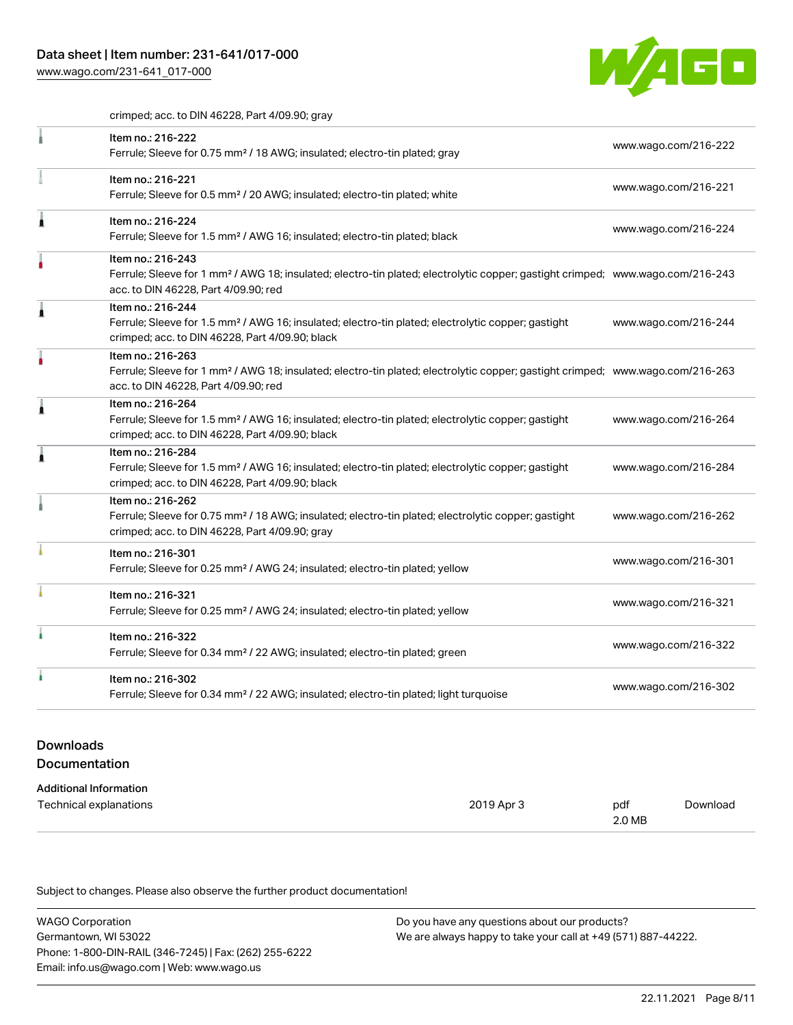[www.wago.com/231-641\\_017-000](http://www.wago.com/231-641_017-000)



crimped; acc. to DIN 46228, Part 4/09.90; gray

|   | Item no.: 216-222<br>Ferrule; Sleeve for 0.75 mm <sup>2</sup> / 18 AWG; insulated; electro-tin plated; gray                                                                        | www.wago.com/216-222 |
|---|------------------------------------------------------------------------------------------------------------------------------------------------------------------------------------|----------------------|
|   |                                                                                                                                                                                    |                      |
|   | Item no.: 216-221                                                                                                                                                                  | www.wago.com/216-221 |
|   | Ferrule; Sleeve for 0.5 mm <sup>2</sup> / 20 AWG; insulated; electro-tin plated; white                                                                                             |                      |
| 1 | Item no.: 216-224                                                                                                                                                                  |                      |
|   | Ferrule; Sleeve for 1.5 mm <sup>2</sup> / AWG 16; insulated; electro-tin plated; black                                                                                             | www.wago.com/216-224 |
|   | Item no.: 216-243                                                                                                                                                                  |                      |
|   | Ferrule; Sleeve for 1 mm <sup>2</sup> / AWG 18; insulated; electro-tin plated; electrolytic copper; gastight crimped; www.wago.com/216-243<br>acc. to DIN 46228, Part 4/09.90; red |                      |
|   | Item no.: 216-244                                                                                                                                                                  |                      |
|   | Ferrule; Sleeve for 1.5 mm <sup>2</sup> / AWG 16; insulated; electro-tin plated; electrolytic copper; gastight<br>crimped; acc. to DIN 46228, Part 4/09.90; black                  | www.wago.com/216-244 |
|   | Item no.: 216-263                                                                                                                                                                  |                      |
|   | Ferrule; Sleeve for 1 mm <sup>2</sup> / AWG 18; insulated; electro-tin plated; electrolytic copper; gastight crimped; www.wago.com/216-263                                         |                      |
|   | acc. to DIN 46228, Part 4/09.90; red                                                                                                                                               |                      |
|   | Item no.: 216-264                                                                                                                                                                  |                      |
|   | Ferrule; Sleeve for 1.5 mm <sup>2</sup> / AWG 16; insulated; electro-tin plated; electrolytic copper; gastight                                                                     | www.wago.com/216-264 |
|   | crimped; acc. to DIN 46228, Part 4/09.90; black                                                                                                                                    |                      |
| 1 | Item no.: 216-284                                                                                                                                                                  |                      |
|   | Ferrule; Sleeve for 1.5 mm <sup>2</sup> / AWG 16; insulated; electro-tin plated; electrolytic copper; gastight<br>crimped; acc. to DIN 46228, Part 4/09.90; black                  | www.wago.com/216-284 |
|   | Item no.: 216-262                                                                                                                                                                  |                      |
|   | Ferrule; Sleeve for 0.75 mm <sup>2</sup> / 18 AWG; insulated; electro-tin plated; electrolytic copper; gastight                                                                    | www.wago.com/216-262 |
|   | crimped; acc. to DIN 46228, Part 4/09.90; gray                                                                                                                                     |                      |
|   | Item no.: 216-301                                                                                                                                                                  |                      |
|   | Ferrule; Sleeve for 0.25 mm <sup>2</sup> / AWG 24; insulated; electro-tin plated; yellow                                                                                           | www.wago.com/216-301 |
|   | Item no.: 216-321                                                                                                                                                                  |                      |
|   | Ferrule; Sleeve for 0.25 mm <sup>2</sup> / AWG 24; insulated; electro-tin plated; yellow                                                                                           | www.wago.com/216-321 |
|   | Item no.: 216-322                                                                                                                                                                  |                      |
|   | Ferrule; Sleeve for 0.34 mm <sup>2</sup> / 22 AWG; insulated; electro-tin plated; green                                                                                            | www.wago.com/216-322 |
|   | Item no.: 216-302                                                                                                                                                                  |                      |
|   | Ferrule; Sleeve for 0.34 mm <sup>2</sup> / 22 AWG; insulated; electro-tin plated; light turquoise                                                                                  | www.wago.com/216-302 |
|   |                                                                                                                                                                                    |                      |

# Downloads Documentation

| Additional Information |
|------------------------|

| Auuluvilai IIII viiliauvil |            |        |          |
|----------------------------|------------|--------|----------|
| Technical explanations     | 2019 Apr 3 | pdf    | Download |
|                            |            | 2.0 MB |          |

Subject to changes. Please also observe the further product documentation!

| <b>WAGO Corporation</b>                                | Do you have any questions about our products?                 |
|--------------------------------------------------------|---------------------------------------------------------------|
| Germantown, WI 53022                                   | We are always happy to take your call at +49 (571) 887-44222. |
| Phone: 1-800-DIN-RAIL (346-7245)   Fax: (262) 255-6222 |                                                               |
| Email: info.us@wago.com   Web: www.wago.us             |                                                               |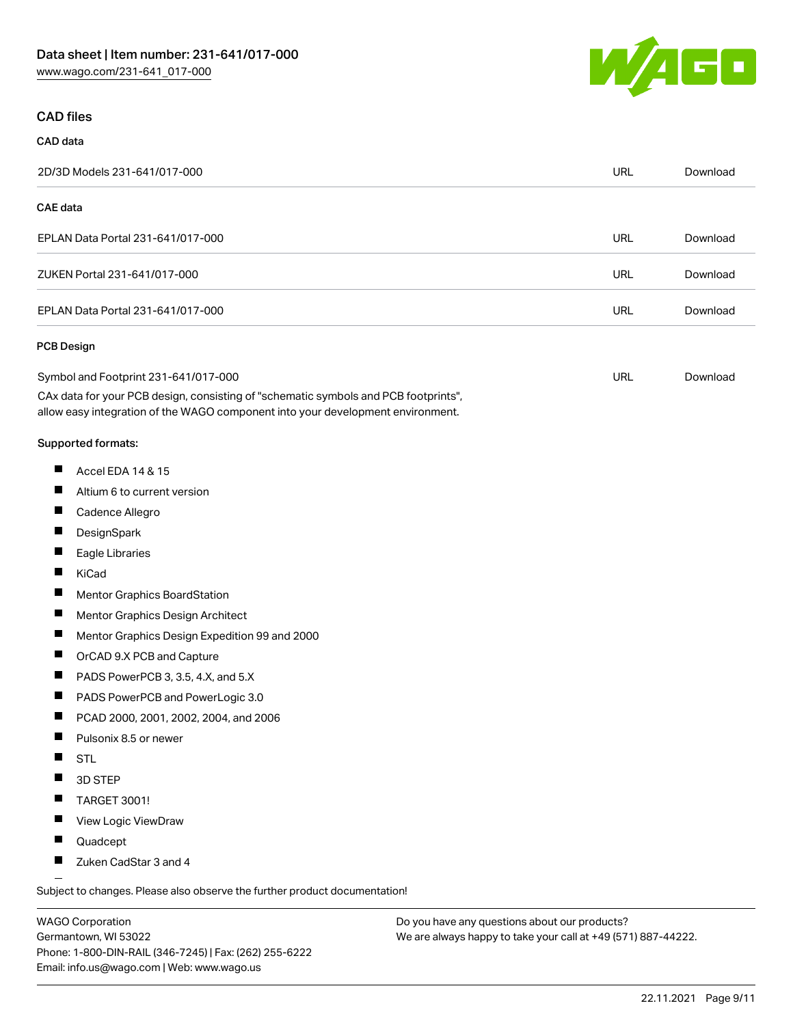

#### CAD files

#### CAD data 2D/3D Models 231-641/017-000 URL [Download](https://www.wago.com/global/d/3D_URLS_231-641_017-000) CAE data EPLAN Data Portal 231-641/017-000 URL [Download](https://www.wago.com/global/d/EPLAN_URLS_231-641%252F017-000) ZUKEN Portal 231-641/017-000 URL [Download](https://www.wago.com/global/d/Zuken_URLS_231-641_017-000) EPLAN Data Portal 231-641/017-000 URL [Download](https://www.wago.com/global/d/EPLAN_URLS_231-641_017-000) PCB Design Symbol and Footprint 231-641/017-000 URL [Download](https://www.wago.com/global/d/UltraLibrarian_URLS_231-641_017-000)CAx data for your PCB design, consisting of "schematic symbols and PCB footprints", allow easy integration of the WAGO component into your development environment. Supported formats:  $\blacksquare$ Accel EDA 14 & 15  $\blacksquare$ Altium 6 to current version  $\blacksquare$ Cadence Allegro  $\blacksquare$ **DesignSpark** П Eagle Libraries  $\blacksquare$ KiCad  $\blacksquare$ Mentor Graphics BoardStation  $\blacksquare$ Mentor Graphics Design Architect  $\blacksquare$ Mentor Graphics Design Expedition 99 and 2000  $\blacksquare$ OrCAD 9.X PCB and Capture  $\blacksquare$ PADS PowerPCB 3, 3.5, 4.X, and 5.X  $\blacksquare$ PADS PowerPCB and PowerLogic 3.0  $\blacksquare$ PCAD 2000, 2001, 2002, 2004, and 2006 П Pulsonix 8.5 or newer  $\blacksquare$ **STL** П 3D STEP

- $\blacksquare$ TARGET 3001!
- П View Logic ViewDraw
- $\blacksquare$ Quadcept
- П Zuken CadStar 3 and 4

Subject to changes. Please also observe the further product documentation!

WAGO Corporation Germantown, WI 53022 Phone: 1-800-DIN-RAIL (346-7245) | Fax: (262) 255-6222 Email: info.us@wago.com | Web: www.wago.us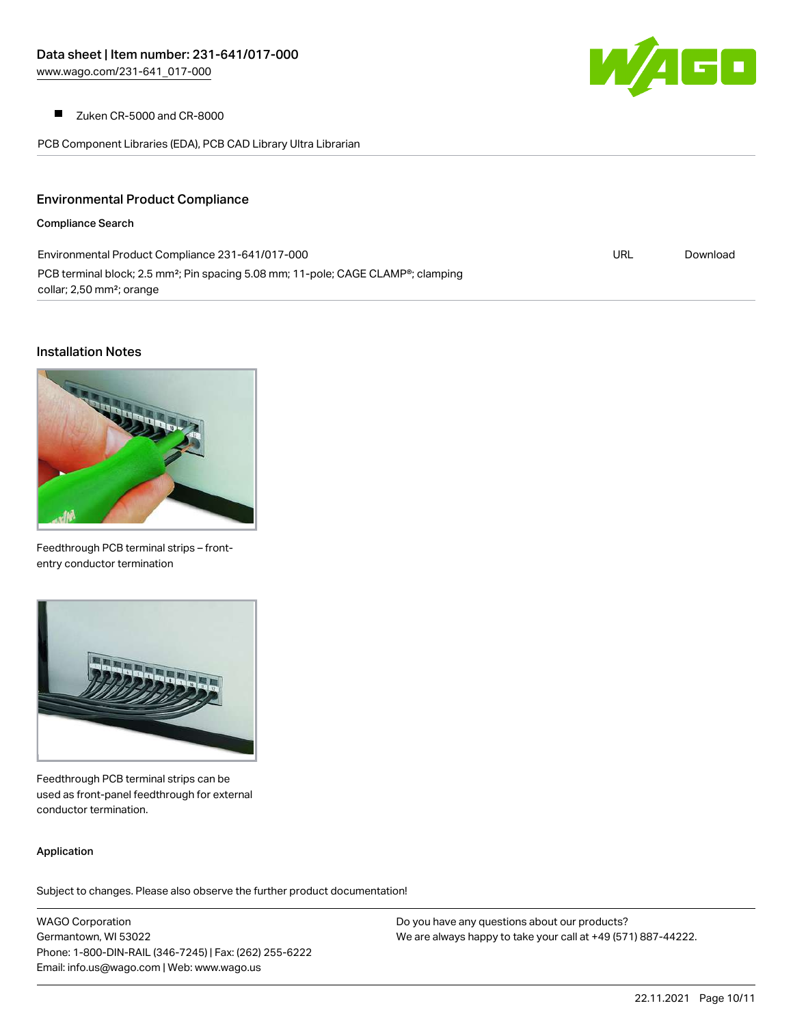

 $\blacksquare$ Zuken CR-5000 and CR-8000

PCB Component Libraries (EDA), PCB CAD Library Ultra Librarian

### Environmental Product Compliance

#### Compliance Search

| Environmental Product Compliance 231-641/017-000                                                           | URL | Download |
|------------------------------------------------------------------------------------------------------------|-----|----------|
| PCB terminal block; 2.5 mm <sup>2</sup> ; Pin spacing 5.08 mm; 11-pole; CAGE CLAMP <sup>®</sup> ; clamping |     |          |
| collar; 2,50 mm <sup>2</sup> ; orange                                                                      |     |          |

#### Installation Notes



Feedthrough PCB terminal strips – frontentry conductor termination



Feedthrough PCB terminal strips can be used as front-panel feedthrough for external conductor termination.

#### Application

Subject to changes. Please also observe the further product documentation!

WAGO Corporation Germantown, WI 53022 Phone: 1-800-DIN-RAIL (346-7245) | Fax: (262) 255-6222 Email: info.us@wago.com | Web: www.wago.us